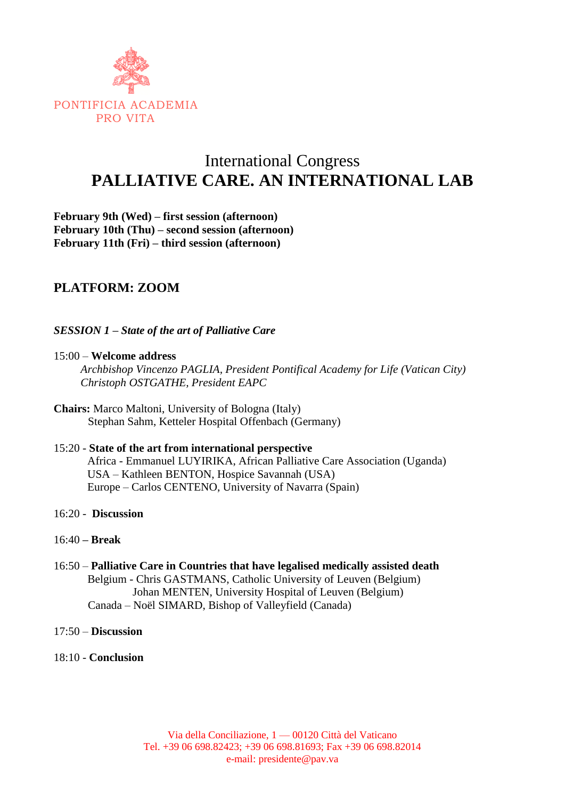

# International Congress **PALLIATIVE CARE. AN INTERNATIONAL LAB**

**February 9th (Wed) – first session (afternoon) February 10th (Thu) – second session (afternoon) February 11th (Fri) – third session (afternoon)**

# **PLATFORM: ZOOM**

*SESSION 1 – State of the art of Palliative Care* 

15:00 – **Welcome address**

*Archbishop Vincenzo PAGLIA, President Pontifical Academy for Life (Vatican City) Christoph OSTGATHE, President EAPC*

**Chairs:** Marco Maltoni, University of Bologna (Italy) Stephan Sahm, Ketteler Hospital Offenbach (Germany)

### 15:20 - **State of the art from international perspective** Africa - Emmanuel LUYIRIKA, African Palliative Care Association (Uganda) USA – Kathleen BENTON, Hospice Savannah (USA) Europe – Carlos CENTENO, University of Navarra (Spain)

- 16:20 **Discussion**
- 16:40 **– Break**
- 16:50 **Palliative Care in Countries that have legalised medically assisted death** Belgium - Chris GASTMANS, Catholic University of Leuven (Belgium) Johan MENTEN, University Hospital of Leuven (Belgium) Canada – Noël SIMARD, Bishop of Valleyfield (Canada)
- 17:50 **Discussion**
- 18:10 **Conclusion**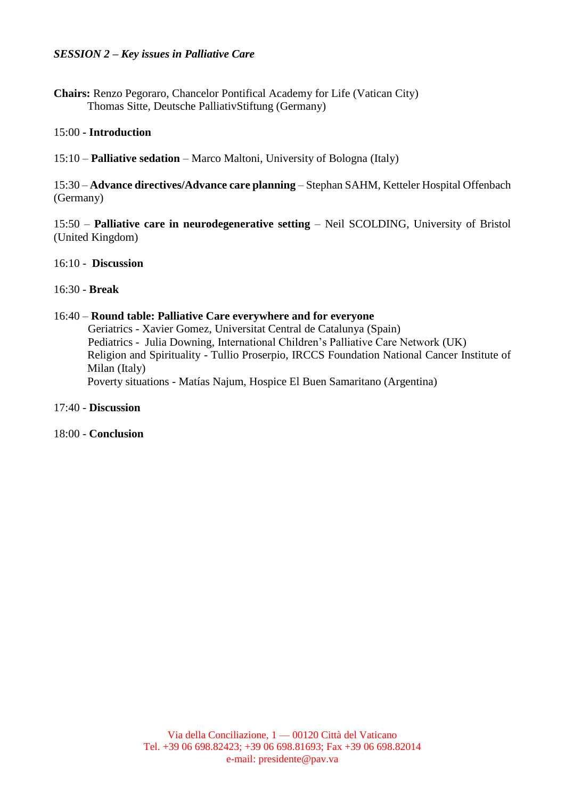**Chairs:** Renzo Pegoraro, Chancelor Pontifical Academy for Life (Vatican City) Thomas Sitte, Deutsche PalliativStiftung (Germany)

#### 15:00 **- Introduction**

15:10 – **Palliative sedation** – Marco Maltoni, University of Bologna (Italy)

15:30 – **Advance directives/Advance care planning** – Stephan SAHM, Ketteler Hospital Offenbach (Germany)

15:50 – **Palliative care in neurodegenerative setting** – Neil SCOLDING, University of Bristol (United Kingdom)

#### 16:10 - **Discussion**

#### 16:30 - **Break**

#### 16:40 – **Round table: Palliative Care everywhere and for everyone**

Geriatrics - Xavier Gomez, Universitat Central de Catalunya (Spain) Pediatrics - Julia Downing, International Children's Palliative Care Network (UK) Religion and Spirituality - Tullio Proserpio, IRCCS Foundation National Cancer Institute of Milan (Italy) Poverty situations - Matías Najum, Hospice El Buen Samaritano (Argentina)

#### 17:40 - **Discussion**

#### 18:00 - **Conclusion**